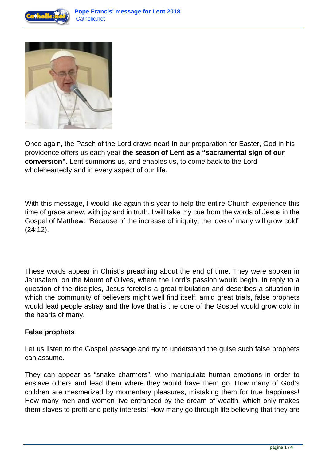



Once again, the Pasch of the Lord draws near! In our preparation for Easter, God in his providence offers us each year **the season of Lent as a "sacramental sign of our conversion".** Lent summons us, and enables us, to come back to the Lord wholeheartedly and in every aspect of our life.

With this message, I would like again this year to help the entire Church experience this time of grace anew, with joy and in truth. I will take my cue from the words of Jesus in the Gospel of Matthew: "Because of the increase of iniquity, the love of many will grow cold" (24:12).

These words appear in Christ's preaching about the end of time. They were spoken in Jerusalem, on the Mount of Olives, where the Lord's passion would begin. In reply to a question of the disciples, Jesus foretells a great tribulation and describes a situation in which the community of believers might well find itself: amid great trials, false prophets would lead people astray and the love that is the core of the Gospel would grow cold in the hearts of many.

## **False prophets**

Let us listen to the Gospel passage and try to understand the guise such false prophets can assume.

They can appear as "snake charmers", who manipulate human emotions in order to enslave others and lead them where they would have them go. How many of God's children are mesmerized by momentary pleasures, mistaking them for true happiness! How many men and women live entranced by the dream of wealth, which only makes them slaves to profit and petty interests! How many go through life believing that they are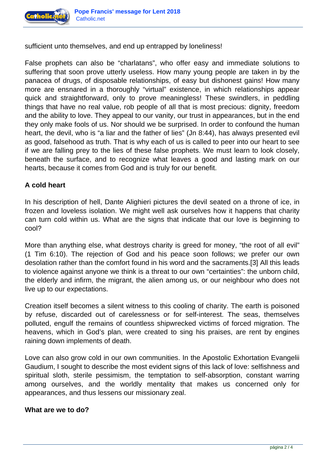

sufficient unto themselves, and end up entrapped by loneliness!

False prophets can also be "charlatans", who offer easy and immediate solutions to suffering that soon prove utterly useless. How many young people are taken in by the panacea of drugs, of disposable relationships, of easy but dishonest gains! How many more are ensnared in a thoroughly "virtual" existence, in which relationships appear quick and straightforward, only to prove meaningless! These swindlers, in peddling things that have no real value, rob people of all that is most precious: dignity, freedom and the ability to love. They appeal to our vanity, our trust in appearances, but in the end they only make fools of us. Nor should we be surprised. In order to confound the human heart, the devil, who is "a liar and the father of lies" (Jn 8:44), has always presented evil as good, falsehood as truth. That is why each of us is called to peer into our heart to see if we are falling prey to the lies of these false prophets. We must learn to look closely, beneath the surface, and to recognize what leaves a good and lasting mark on our hearts, because it comes from God and is truly for our benefit.

## **A cold heart**

In his description of hell, Dante Alighieri pictures the devil seated on a throne of ice, in frozen and loveless isolation. We might well ask ourselves how it happens that charity can turn cold within us. What are the signs that indicate that our love is beginning to cool?

More than anything else, what destroys charity is greed for money, "the root of all evil" (1 Tim 6:10). The rejection of God and his peace soon follows; we prefer our own desolation rather than the comfort found in his word and the sacraments.[3] All this leads to violence against anyone we think is a threat to our own "certainties": the unborn child, the elderly and infirm, the migrant, the alien among us, or our neighbour who does not live up to our expectations.

Creation itself becomes a silent witness to this cooling of charity. The earth is poisoned by refuse, discarded out of carelessness or for self-interest. The seas, themselves polluted, engulf the remains of countless shipwrecked victims of forced migration. The heavens, which in God's plan, were created to sing his praises, are rent by engines raining down implements of death.

Love can also grow cold in our own communities. In the Apostolic Exhortation Evangelii Gaudium, I sought to describe the most evident signs of this lack of love: selfishness and spiritual sloth, sterile pessimism, the temptation to self-absorption, constant warring among ourselves, and the worldly mentality that makes us concerned only for appearances, and thus lessens our missionary zeal.

## **What are we to do?**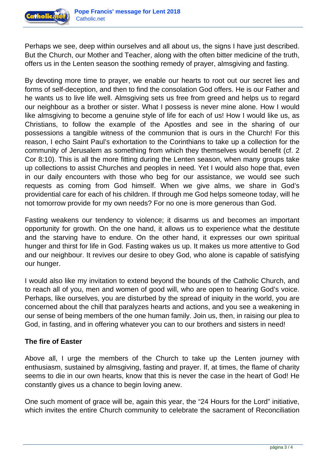

Perhaps we see, deep within ourselves and all about us, the signs I have just described. But the Church, our Mother and Teacher, along with the often bitter medicine of the truth, offers us in the Lenten season the soothing remedy of prayer, almsgiving and fasting.

By devoting more time to prayer, we enable our hearts to root out our secret lies and forms of self-deception, and then to find the consolation God offers. He is our Father and he wants us to live life well. Almsgiving sets us free from greed and helps us to regard our neighbour as a brother or sister. What I possess is never mine alone. How I would like almsgiving to become a genuine style of life for each of us! How I would like us, as Christians, to follow the example of the Apostles and see in the sharing of our possessions a tangible witness of the communion that is ours in the Church! For this reason, I echo Saint Paul's exhortation to the Corinthians to take up a collection for the community of Jerusalem as something from which they themselves would benefit (cf. 2 Cor 8:10). This is all the more fitting during the Lenten season, when many groups take up collections to assist Churches and peoples in need. Yet I would also hope that, even in our daily encounters with those who beg for our assistance, we would see such requests as coming from God himself. When we give alms, we share in God's providential care for each of his children. If through me God helps someone today, will he not tomorrow provide for my own needs? For no one is more generous than God.

Fasting weakens our tendency to violence; it disarms us and becomes an important opportunity for growth. On the one hand, it allows us to experience what the destitute and the starving have to endure. On the other hand, it expresses our own spiritual hunger and thirst for life in God. Fasting wakes us up. It makes us more attentive to God and our neighbour. It revives our desire to obey God, who alone is capable of satisfying our hunger.

I would also like my invitation to extend beyond the bounds of the Catholic Church, and to reach all of you, men and women of good will, who are open to hearing God's voice. Perhaps, like ourselves, you are disturbed by the spread of iniquity in the world, you are concerned about the chill that paralyzes hearts and actions, and you see a weakening in our sense of being members of the one human family. Join us, then, in raising our plea to God, in fasting, and in offering whatever you can to our brothers and sisters in need!

## **The fire of Easter**

Above all, I urge the members of the Church to take up the Lenten journey with enthusiasm, sustained by almsgiving, fasting and prayer. If, at times, the flame of charity seems to die in our own hearts, know that this is never the case in the heart of God! He constantly gives us a chance to begin loving anew.

One such moment of grace will be, again this year, the "24 Hours for the Lord" initiative, which invites the entire Church community to celebrate the sacrament of Reconciliation